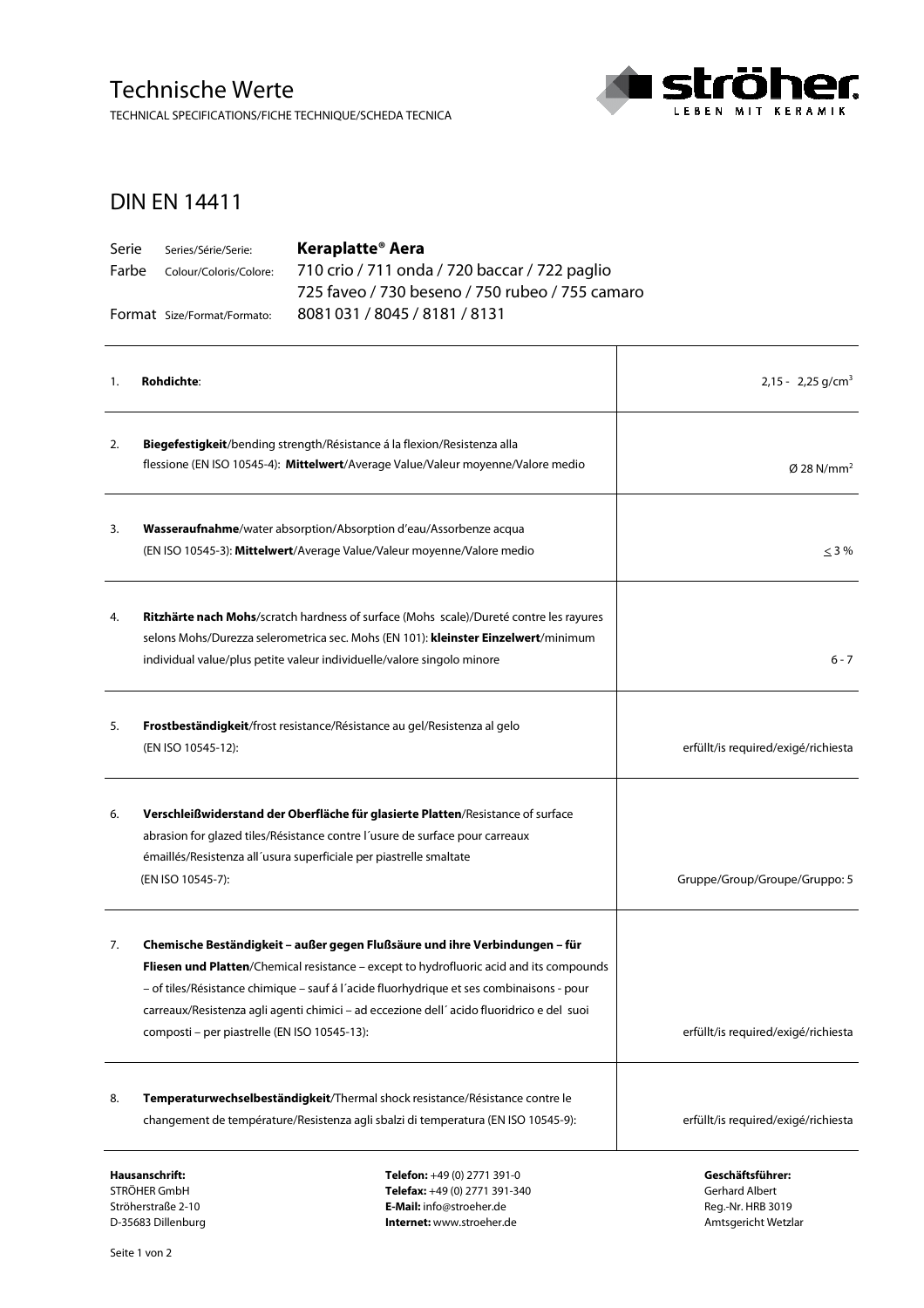## Technische Werte

TECHNICAL SPECIFICATIONS/FICHE TECHNIQUE/SCHEDA TECNICA



T

## DIN EN 14411

| Serie | Series/Série/Serie:          | Keraplatte <sup>®</sup> Aera                    |  |
|-------|------------------------------|-------------------------------------------------|--|
|       | Farbe Colour/Coloris/Colore: | 710 crio / 711 onda / 720 baccar / 722 paglio   |  |
|       |                              | 725 faveo / 730 beseno / 750 rubeo / 755 camaro |  |
|       | Format Size/Format/Formato:  | 8081031/8045/8181/8131                          |  |

| 1. | <b>Rohdichte:</b>                                                                                                                                                                                                                                                                                                                                                                                              | $2,15 - 2,25$ g/cm <sup>3</sup>     |
|----|----------------------------------------------------------------------------------------------------------------------------------------------------------------------------------------------------------------------------------------------------------------------------------------------------------------------------------------------------------------------------------------------------------------|-------------------------------------|
| 2. | Biegefestigkeit/bending strength/Résistance á la flexion/Resistenza alla<br>flessione (EN ISO 10545-4): Mittelwert/Average Value/Valeur moyenne/Valore medio                                                                                                                                                                                                                                                   | $\varnothing$ 28 N/mm <sup>2</sup>  |
| 3. | Wasseraufnahme/water absorption/Absorption d'eau/Assorbenze acqua<br>(EN ISO 10545-3): Mittelwert/Average Value/Valeur moyenne/Valore medio                                                                                                                                                                                                                                                                    | $\leq$ 3 %                          |
| 4. | Ritzhärte nach Mohs/scratch hardness of surface (Mohs scale)/Dureté contre les rayures<br>selons Mohs/Durezza selerometrica sec. Mohs (EN 101): kleinster Einzelwert/minimum<br>individual value/plus petite valeur individuelle/valore singolo minore                                                                                                                                                         | 6 - 7                               |
| 5. | Frostbeständigkeit/frost resistance/Résistance au gel/Resistenza al gelo<br>(EN ISO 10545-12):                                                                                                                                                                                                                                                                                                                 | erfüllt/is required/exigé/richiesta |
| 6. | Verschleißwiderstand der Oberfläche für glasierte Platten/Resistance of surface<br>abrasion for glazed tiles/Résistance contre l'usure de surface pour carreaux<br>émaillés/Resistenza all'usura superficiale per piastrelle smaltate<br>(EN ISO 10545-7):                                                                                                                                                     | Gruppe/Group/Groupe/Gruppo: 5       |
| 7. | Chemische Beständigkeit - außer gegen Flußsäure und ihre Verbindungen - für<br>Fliesen und Platten/Chemical resistance - except to hydrofluoric acid and its compounds<br>- of tiles/Résistance chimique - sauf á l'acide fluorhydrique et ses combinaisons - pour<br>carreaux/Resistenza agli agenti chimici - ad eccezione dell'acido fluoridrico e del suoi<br>composti - per piastrelle (EN ISO 10545-13): | erfüllt/is required/exigé/richiesta |
| 8. | Temperaturwechselbeständigkeit/Thermal shock resistance/Résistance contre le<br>changement de température/Resistenza agli sbalzi di temperatura (EN ISO 10545-9):                                                                                                                                                                                                                                              | erfüllt/is required/exigé/richiesta |
|    | Hausanschrift:<br><b>Telefon:</b> $+49(0)$ 2771 391-0                                                                                                                                                                                                                                                                                                                                                          | Geschäftsführer:                    |

STRÖHER GmbH Ströherstraße 2-10 D-35683 Dillenburg

**Telefon:** +49 (0) 2771 391-0 **Telefax:** +49 (0) 2771 391-340 **E-Mail:** info@stroeher.de **Internet:** www.stroeher.de

**Geschäftsführer:**  Gerhard Albert Reg.-Nr. HRB 3019 Amtsgericht Wetzlar